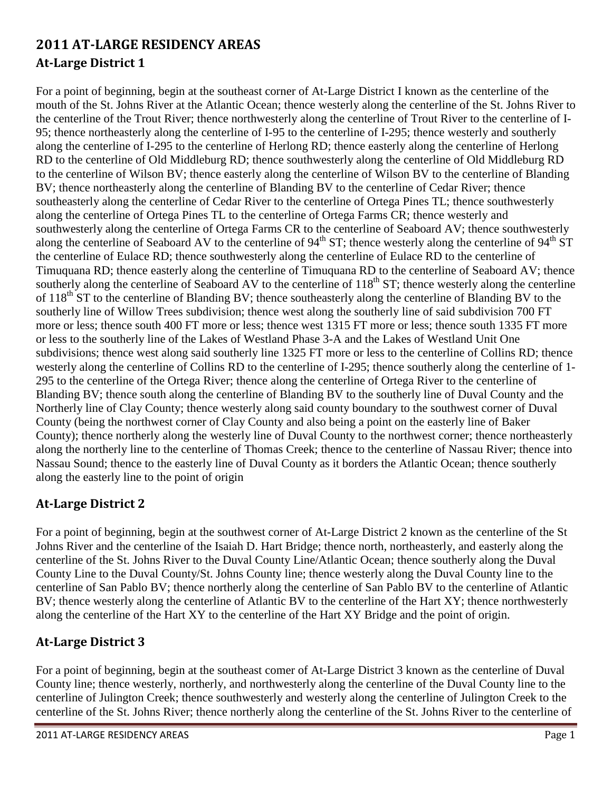# **2011 AT-LARGE RESIDENCY AREAS At-Large District 1**

For a point of beginning, begin at the southeast corner of At-Large District I known as the centerline of the mouth of the St. Johns River at the Atlantic Ocean; thence westerly along the centerline of the St. Johns River to the centerline of the Trout River; thence northwesterly along the centerline of Trout River to the centerline of I-95; thence northeasterly along the centerline of I-95 to the centerline of I-295; thence westerly and southerly along the centerline of I-295 to the centerline of Herlong RD; thence easterly along the centerline of Herlong RD to the centerline of Old Middleburg RD; thence southwesterly along the centerline of Old Middleburg RD to the centerline of Wilson BV; thence easterly along the centerline of Wilson BV to the centerline of Blanding BV; thence northeasterly along the centerline of Blanding BV to the centerline of Cedar River; thence southeasterly along the centerline of Cedar River to the centerline of Ortega Pines TL; thence southwesterly along the centerline of Ortega Pines TL to the centerline of Ortega Farms CR; thence westerly and southwesterly along the centerline of Ortega Farms CR to the centerline of Seaboard AV; thence southwesterly along the centerline of Seaboard AV to the centerline of  $94<sup>th</sup> ST$ ; thence westerly along the centerline of  $94<sup>th</sup> ST$ the centerline of Eulace RD; thence southwesterly along the centerline of Eulace RD to the centerline of Timuquana RD; thence easterly along the centerline of Timuquana RD to the centerline of Seaboard AV; thence southerly along the centerline of Seaboard AV to the centerline of  $118<sup>th</sup> ST$ ; thence westerly along the centerline of  $118<sup>th</sup>$  ST to the centerline of Blanding BV; thence southeasterly along the centerline of Blanding BV to the southerly line of Willow Trees subdivision; thence west along the southerly line of said subdivision 700 FT more or less; thence south 400 FT more or less; thence west 1315 FT more or less; thence south 1335 FT more or less to the southerly line of the Lakes of Westland Phase 3-A and the Lakes of Westland Unit One subdivisions; thence west along said southerly line 1325 FT more or less to the centerline of Collins RD; thence westerly along the centerline of Collins RD to the centerline of I-295; thence southerly along the centerline of 1- 295 to the centerline of the Ortega River; thence along the centerline of Ortega River to the centerline of Blanding BV; thence south along the centerline of Blanding BV to the southerly line of Duval County and the Northerly line of Clay County; thence westerly along said county boundary to the southwest corner of Duval County (being the northwest corner of Clay County and also being a point on the easterly line of Baker County); thence northerly along the westerly line of Duval County to the northwest corner; thence northeasterly along the northerly line to the centerline of Thomas Creek; thence to the centerline of Nassau River; thence into Nassau Sound; thence to the easterly line of Duval County as it borders the Atlantic Ocean; thence southerly along the easterly line to the point of origin

## **At-Large District 2**

For a point of beginning, begin at the southwest corner of At-Large District 2 known as the centerline of the St Johns River and the centerline of the Isaiah D. Hart Bridge; thence north, northeasterly, and easterly along the centerline of the St. Johns River to the Duval County Line/Atlantic Ocean; thence southerly along the Duval County Line to the Duval County/St. Johns County line; thence westerly along the Duval County line to the centerline of San Pablo BV; thence northerly along the centerline of San Pablo BV to the centerline of Atlantic BV; thence westerly along the centerline of Atlantic BV to the centerline of the Hart XY; thence northwesterly along the centerline of the Hart XY to the centerline of the Hart XY Bridge and the point of origin.

## **At-Large District 3**

For a point of beginning, begin at the southeast comer of At-Large District 3 known as the centerline of Duval County line; thence westerly, northerly, and northwesterly along the centerline of the Duval County line to the centerline of Julington Creek; thence southwesterly and westerly along the centerline of Julington Creek to the centerline of the St. Johns River; thence northerly along the centerline of the St. Johns River to the centerline of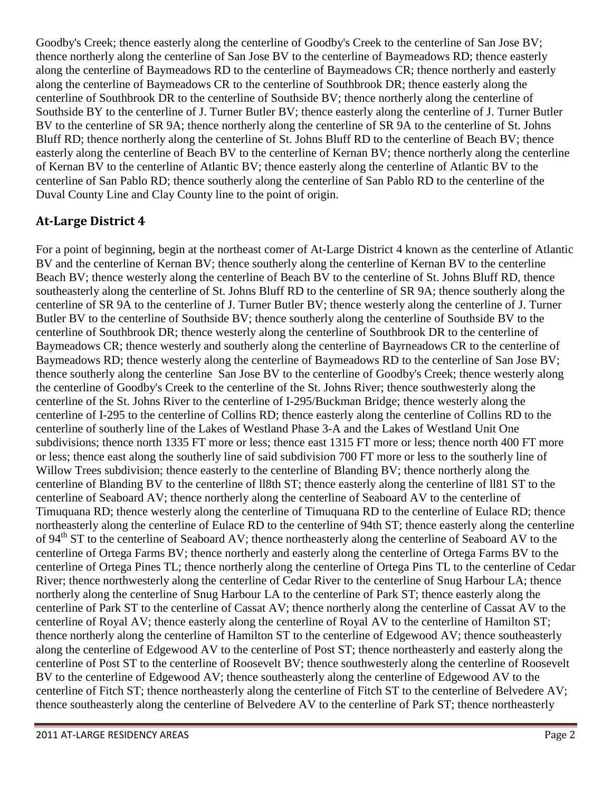Goodby's Creek; thence easterly along the centerline of Goodby's Creek to the centerline of San Jose BV; thence northerly along the centerline of San Jose BV to the centerline of Baymeadows RD; thence easterly along the centerline of Baymeadows RD to the centerline of Baymeadows CR; thence northerly and easterly along the centerline of Baymeadows CR to the centerline of Southbrook DR; thence easterly along the centerline of Southbrook DR to the centerline of Southside BV; thence northerly along the centerline of Southside BY to the centerline of J. Turner Butler BV; thence easterly along the centerline of J. Turner Butler BV to the centerline of SR 9A; thence northerly along the centerline of SR 9A to the centerline of St. Johns Bluff RD; thence northerly along the centerline of St. Johns Bluff RD to the centerline of Beach BV; thence easterly along the centerline of Beach BV to the centerline of Kernan BV; thence northerly along the centerline of Kernan BV to the centerline of Atlantic BV; thence easterly along the centerline of Atlantic BV to the centerline of San Pablo RD; thence southerly along the centerline of San Pablo RD to the centerline of the Duval County Line and Clay County line to the point of origin.

#### **At-Large District 4**

For a point of beginning, begin at the northeast comer of At-Large District 4 known as the centerline of Atlantic BV and the centerline of Kernan BV; thence southerly along the centerline of Kernan BV to the centerline Beach BV; thence westerly along the centerline of Beach BV to the centerline of St. Johns Bluff RD, thence southeasterly along the centerline of St. Johns Bluff RD to the centerline of SR 9A; thence southerly along the centerline of SR 9A to the centerline of J. Turner Butler BV; thence westerly along the centerline of J. Turner Butler BV to the centerline of Southside BV; thence southerly along the centerline of Southside BV to the centerline of Southbrook DR; thence westerly along the centerline of Southbrook DR to the centerline of Baymeadows CR; thence westerly and southerly along the centerline of Bayrneadows CR to the centerline of Baymeadows RD; thence westerly along the centerline of Baymeadows RD to the centerline of San Jose BV; thence southerly along the centerline San Jose BV to the centerline of Goodby's Creek; thence westerly along the centerline of Goodby's Creek to the centerline of the St. Johns River; thence southwesterly along the centerline of the St. Johns River to the centerline of I-295/Buckman Bridge; thence westerly along the centerline of I-295 to the centerline of Collins RD; thence easterly along the centerline of Collins RD to the centerline of southerly line of the Lakes of Westland Phase 3-A and the Lakes of Westland Unit One subdivisions; thence north 1335 FT more or less; thence east 1315 FT more or less; thence north 400 FT more or less; thence east along the southerly line of said subdivision 700 FT more or less to the southerly line of Willow Trees subdivision; thence easterly to the centerline of Blanding BV; thence northerly along the centerline of Blanding BV to the centerline of ll8th ST; thence easterly along the centerline of ll81 ST to the centerline of Seaboard AV; thence northerly along the centerline of Seaboard AV to the centerline of Timuquana RD; thence westerly along the centerline of Timuquana RD to the centerline of Eulace RD; thence northeasterly along the centerline of Eulace RD to the centerline of 94th ST; thence easterly along the centerline of 94<sup>th</sup> ST to the centerline of Seaboard AV; thence northeasterly along the centerline of Seaboard AV to the centerline of Ortega Farms BV; thence northerly and easterly along the centerline of Ortega Farms BV to the centerline of Ortega Pines TL; thence northerly along the centerline of Ortega Pins TL to the centerline of Cedar River; thence northwesterly along the centerline of Cedar River to the centerline of Snug Harbour LA; thence northerly along the centerline of Snug Harbour LA to the centerline of Park ST; thence easterly along the centerline of Park ST to the centerline of Cassat AV; thence northerly along the centerline of Cassat AV to the centerline of Royal AV; thence easterly along the centerline of Royal AV to the centerline of Hamilton ST; thence northerly along the centerline of Hamilton ST to the centerline of Edgewood AV; thence southeasterly along the centerline of Edgewood AV to the centerline of Post ST; thence northeasterly and easterly along the centerline of Post ST to the centerline of Roosevelt BV; thence southwesterly along the centerline of Roosevelt BV to the centerline of Edgewood AV; thence southeasterly along the centerline of Edgewood AV to the centerline of Fitch ST; thence northeasterly along the centerline of Fitch ST to the centerline of Belvedere AV; thence southeasterly along the centerline of Belvedere AV to the centerline of Park ST; thence northeasterly